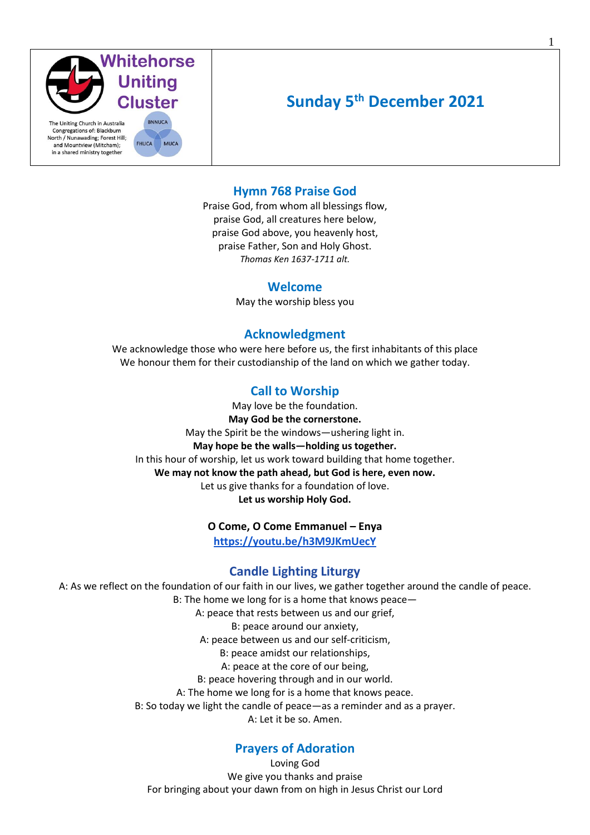

# **Sunday 5th December 2021**

### **Hymn 768 Praise God**

Praise God, from whom all blessings flow, praise God, all creatures here below, praise God above, you heavenly host, praise Father, Son and Holy Ghost. *Thomas Ken 1637-1711 alt.*

#### **Welcome**

May the worship bless you

#### **Acknowledgment**

We acknowledge those who were here before us, the first inhabitants of this place We honour them for their custodianship of the land on which we gather today.

### **Call to Worship**

May love be the foundation. **May God be the cornerstone.** May the Spirit be the windows—ushering light in. **May hope be the walls—holding us together.** In this hour of worship, let us work toward building that home together. **We may not know the path ahead, but God is here, even now.**  Let us give thanks for a foundation of love. **Let us worship Holy God.**

#### **O Come, O Come Emmanuel – Enya**

**<https://youtu.be/h3M9JKmUecY>**

#### **Candle Lighting Liturgy**

A: As we reflect on the foundation of our faith in our lives, we gather together around the candle of peace. B: The home we long for is a home that knows peace— A: peace that rests between us and our grief, B: peace around our anxiety, A: peace between us and our self-criticism, B: peace amidst our relationships, A: peace at the core of our being, B: peace hovering through and in our world. A: The home we long for is a home that knows peace. B: So today we light the candle of peace—as a reminder and as a prayer. A: Let it be so. Amen.

### **Prayers of Adoration**

Loving God We give you thanks and praise For bringing about your dawn from on high in Jesus Christ our Lord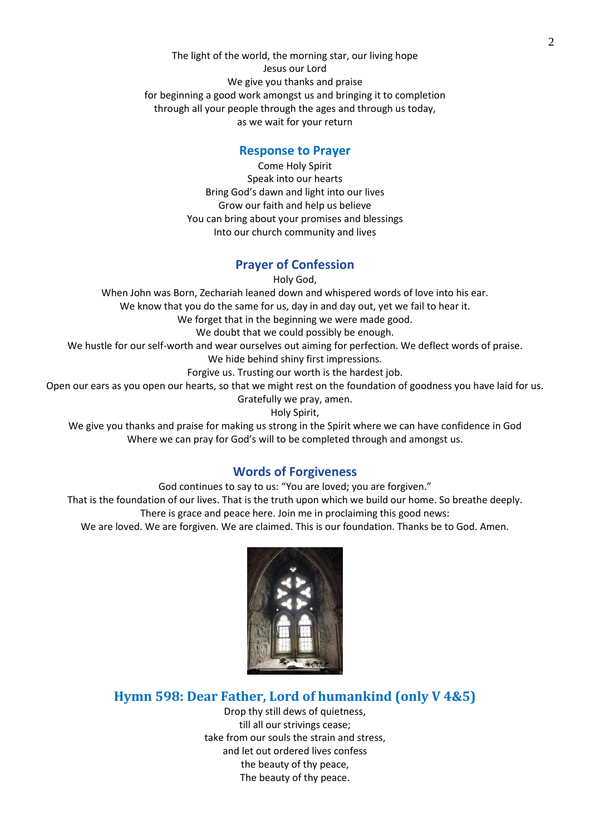The light of the world, the morning star, our living hope Jesus our Lord We give you thanks and praise for beginning a good work amongst us and bringing it to completion through all your people through the ages and through us today, as we wait for your return

#### **Response to Prayer**

Come Holy Spirit Speak into our hearts Bring God's dawn and light into our lives Grow our faith and help us believe You can bring about your promises and blessings Into our church community and lives

### **Prayer of Confession**

Holy God,

When John was Born, Zechariah leaned down and whispered words of love into his ear. We know that you do the same for us, day in and day out, yet we fail to hear it. We forget that in the beginning we were made good. We doubt that we could possibly be enough. We hustle for our self-worth and wear ourselves out aiming for perfection. We deflect words of praise. We hide behind shiny first impressions. Forgive us. Trusting our worth is the hardest job. Open our ears as you open our hearts, so that we might rest on the foundation of goodness you have laid for us. Gratefully we pray, amen. Holy Spirit,

We give you thanks and praise for making us strong in the Spirit where we can have confidence in God Where we can pray for God's will to be completed through and amongst us.

### **Words of Forgiveness**

God continues to say to us: "You are loved; you are forgiven." That is the foundation of our lives. That is the truth upon which we build our home. So breathe deeply. There is grace and peace here. Join me in proclaiming this good news: We are loved. We are forgiven. We are claimed. This is our foundation. Thanks be to God. Amen.



## **Hymn 598: Dear Father, Lord of humankind (only V 4&5)**

Drop thy still dews of quietness, till all our strivings cease; take from our souls the strain and stress, and let out ordered lives confess the beauty of thy peace, The beauty of thy peace.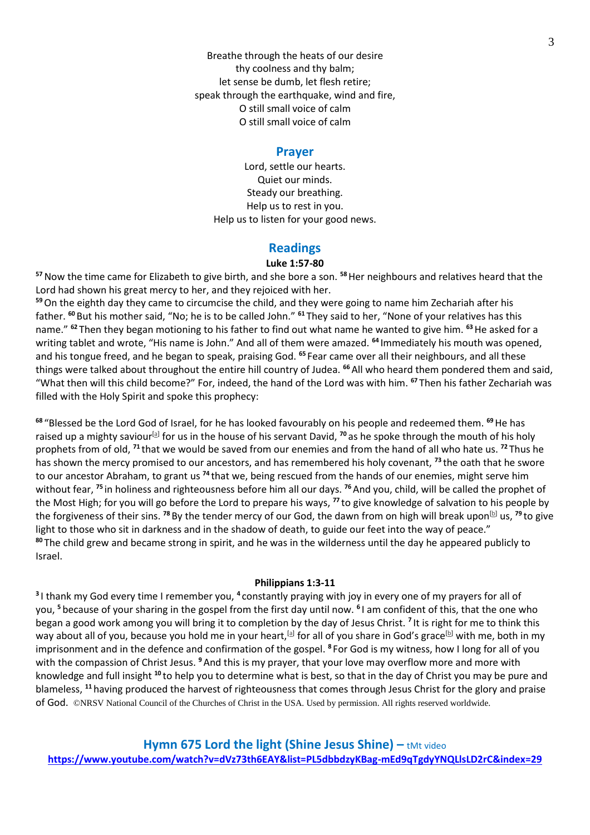Breathe through the heats of our desire thy coolness and thy balm; let sense be dumb, let flesh retire; speak through the earthquake, wind and fire, O still small voice of calm O still small voice of calm

#### **Prayer**

Lord, settle our hearts. Quiet our minds. Steady our breathing. Help us to rest in you. Help us to listen for your good news.

#### **Readings**

#### **Luke 1:57-80**

**<sup>57</sup>**Now the time came for Elizabeth to give birth, and she bore a son. **<sup>58</sup>**Her neighbours and relatives heard that the Lord had shown his great mercy to her, and they rejoiced with her.

**<sup>59</sup>**On the eighth day they came to circumcise the child, and they were going to name him Zechariah after his father. **<sup>60</sup>** But his mother said, "No; he is to be called John." **<sup>61</sup>** They said to her, "None of your relatives has this name." **<sup>62</sup>** Then they began motioning to his father to find out what name he wanted to give him. **<sup>63</sup>**He asked for a writing tablet and wrote, "His name is John." And all of them were amazed. **<sup>64</sup>** Immediately his mouth was opened, and his tongue freed, and he began to speak, praising God. **<sup>65</sup>** Fear came over all their neighbours, and all these things were talked about throughout the entire hill country of Judea. **<sup>66</sup>**All who heard them pondered them and said, "What then will this child become?" For, indeed, the hand of the Lord was with him. **<sup>67</sup>** Then his father Zechariah was filled with the Holy Spirit and spoke this prophecy:

**<sup>68</sup>** "Blessed be the Lord God of Israel, for he has looked favourably on his people and redeemed them. **<sup>69</sup>**He has raised up a mighty saviour<sup>[\[a\]](https://www.biblegateway.com/passage/?search=Luke+1%3A57-80&version=NRSV#fen-NRSV-24955a)</sup> for us in the house of his servant David, <sup>70</sup> as he spoke through the mouth of his holy prophets from of old, **<sup>71</sup>** that we would be saved from our enemies and from the hand of all who hate us. **<sup>72</sup>** Thus he has shown the mercy promised to our ancestors, and has remembered his holy covenant, **<sup>73</sup>** the oath that he swore to our ancestor Abraham, to grant us **<sup>74</sup>** that we, being rescued from the hands of our enemies, might serve him without fear, **<sup>75</sup>** in holiness and righteousness before him all our days. **<sup>76</sup>**And you, child, will be called the prophet of the Most High; for you will go before the Lord to prepare his ways, **<sup>77</sup>** to give knowledge of salvation to his people by the forgiveness of their sins. <sup>78</sup> By the tender mercy of our God, the dawn from on high will break upon<sup>[\[b\]](https://www.biblegateway.com/passage/?search=Luke+1%3A57-80&version=NRSV#fen-NRSV-24964b)</sup> us, <sup>79</sup> to give light to those who sit in darkness and in the shadow of death, to guide our feet into the way of peace." **<sup>80</sup>** The child grew and became strong in spirit, and he was in the wilderness until the day he appeared publicly to Israel.

#### **Philippians 1:3-11**

<sup>3</sup>I thank my God every time I remember you, <sup>4</sup> constantly praying with joy in every one of my prayers for all of you, **<sup>5</sup>** because of your sharing in the gospel from the first day until now. **<sup>6</sup>** I am confident of this, that the one who began a good work among you will bring it to completion by the day of Jesus Christ. **<sup>7</sup>** It is right for me to think this way about all of you, because you hold me in your heart,<sup>[\[a\]](https://www.biblegateway.com/passage/?search=Philippians+1%3A3-11&version=NRSV#fen-NRSV-29352a)</sup> for all of you share in God's grace<sup>[\[b\]](https://www.biblegateway.com/passage/?search=Philippians+1%3A3-11&version=NRSV#fen-NRSV-29352b)</sup> with me, both in my imprisonment and in the defence and confirmation of the gospel. **<sup>8</sup>** For God is my witness, how I long for all of you with the compassion of Christ Jesus. **<sup>9</sup>**And this is my prayer, that your love may overflow more and more with knowledge and full insight **<sup>10</sup>** to help you to determine what is best, so that in the day of Christ you may be pure and blameless, **<sup>11</sup>** having produced the harvest of righteousness that comes through Jesus Christ for the glory and praise of God. ©NRSV National Council of the Churches of Christ in the USA. Used by permission. All rights reserved worldwide.

**Hymn 675 Lord the light (Shine Jesus Shine) –** tMt video **<https://www.youtube.com/watch?v=dVz73th6EAY&list=PL5dbbdzyKBag-mEd9qTgdyYNQLlsLD2rC&index=29>**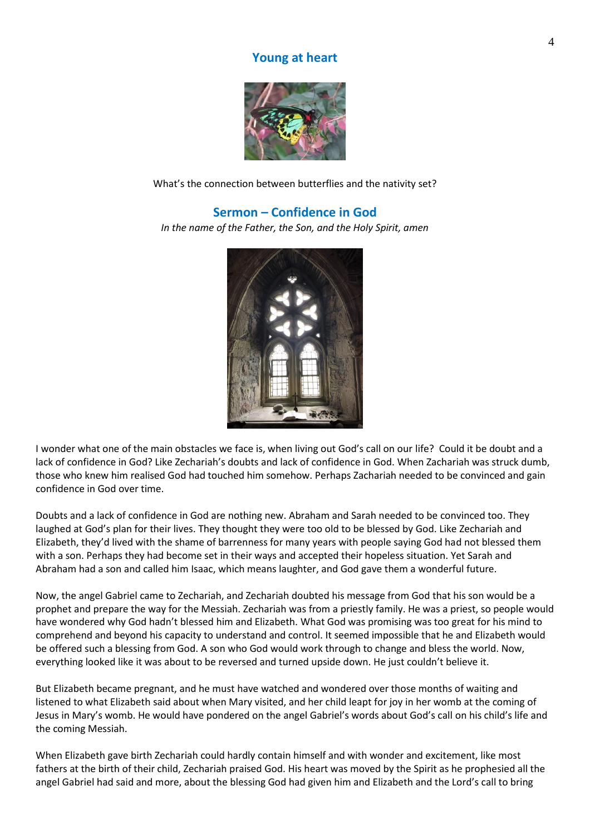### **Young at heart**



What's the connection between butterflies and the nativity set?

### **Sermon – Confidence in God**

*In the name of the Father, the Son, and the Holy Spirit, amen*



I wonder what one of the main obstacles we face is, when living out God's call on our life? Could it be doubt and a lack of confidence in God? Like Zechariah's doubts and lack of confidence in God. When Zachariah was struck dumb, those who knew him realised God had touched him somehow. Perhaps Zachariah needed to be convinced and gain confidence in God over time.

Doubts and a lack of confidence in God are nothing new. Abraham and Sarah needed to be convinced too. They laughed at God's plan for their lives. They thought they were too old to be blessed by God. Like Zechariah and Elizabeth, they'd lived with the shame of barrenness for many years with people saying God had not blessed them with a son. Perhaps they had become set in their ways and accepted their hopeless situation. Yet Sarah and Abraham had a son and called him Isaac, which means laughter, and God gave them a wonderful future.

Now, the angel Gabriel came to Zechariah, and Zechariah doubted his message from God that his son would be a prophet and prepare the way for the Messiah. Zechariah was from a priestly family. He was a priest, so people would have wondered why God hadn't blessed him and Elizabeth. What God was promising was too great for his mind to comprehend and beyond his capacity to understand and control. It seemed impossible that he and Elizabeth would be offered such a blessing from God. A son who God would work through to change and bless the world. Now, everything looked like it was about to be reversed and turned upside down. He just couldn't believe it.

But Elizabeth became pregnant, and he must have watched and wondered over those months of waiting and listened to what Elizabeth said about when Mary visited, and her child leapt for joy in her womb at the coming of Jesus in Mary's womb. He would have pondered on the angel Gabriel's words about God's call on his child's life and the coming Messiah.

When Elizabeth gave birth Zechariah could hardly contain himself and with wonder and excitement, like most fathers at the birth of their child, Zechariah praised God. His heart was moved by the Spirit as he prophesied all the angel Gabriel had said and more, about the blessing God had given him and Elizabeth and the Lord's call to bring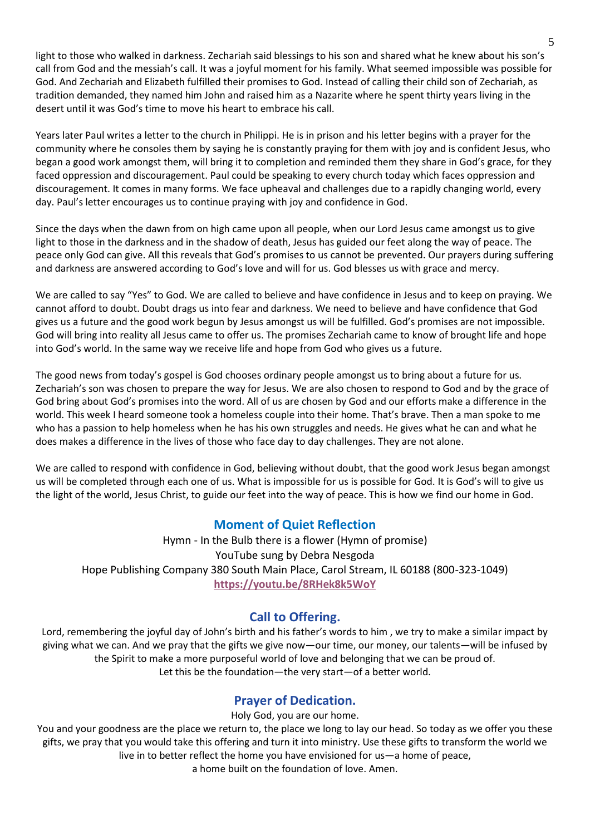light to those who walked in darkness. Zechariah said blessings to his son and shared what he knew about his son's call from God and the messiah's call. It was a joyful moment for his family. What seemed impossible was possible for God. And Zechariah and Elizabeth fulfilled their promises to God. Instead of calling their child son of Zechariah, as tradition demanded, they named him John and raised him as a Nazarite where he spent thirty years living in the desert until it was God's time to move his heart to embrace his call.

Years later Paul writes a letter to the church in Philippi. He is in prison and his letter begins with a prayer for the community where he consoles them by saying he is constantly praying for them with joy and is confident Jesus, who began a good work amongst them, will bring it to completion and reminded them they share in God's grace, for they faced oppression and discouragement. Paul could be speaking to every church today which faces oppression and discouragement. It comes in many forms. We face upheaval and challenges due to a rapidly changing world, every day. Paul's letter encourages us to continue praying with joy and confidence in God.

Since the days when the dawn from on high came upon all people, when our Lord Jesus came amongst us to give light to those in the darkness and in the shadow of death, Jesus has guided our feet along the way of peace. The peace only God can give. All this reveals that God's promises to us cannot be prevented. Our prayers during suffering and darkness are answered according to God's love and will for us. God blesses us with grace and mercy.

We are called to say "Yes" to God. We are called to believe and have confidence in Jesus and to keep on praying. We cannot afford to doubt. Doubt drags us into fear and darkness. We need to believe and have confidence that God gives us a future and the good work begun by Jesus amongst us will be fulfilled. God's promises are not impossible. God will bring into reality all Jesus came to offer us. The promises Zechariah came to know of brought life and hope into God's world. In the same way we receive life and hope from God who gives us a future.

The good news from today's gospel is God chooses ordinary people amongst us to bring about a future for us. Zechariah's son was chosen to prepare the way for Jesus. We are also chosen to respond to God and by the grace of God bring about God's promises into the word. All of us are chosen by God and our efforts make a difference in the world. This week I heard someone took a homeless couple into their home. That's brave. Then a man spoke to me who has a passion to help homeless when he has his own struggles and needs. He gives what he can and what he does makes a difference in the lives of those who face day to day challenges. They are not alone.

We are called to respond with confidence in God, believing without doubt, that the good work Jesus began amongst us will be completed through each one of us. What is impossible for us is possible for God. It is God's will to give us the light of the world, Jesus Christ, to guide our feet into the way of peace. This is how we find our home in God.

# **Moment of Quiet Reflection**

Hymn - In the Bulb there is a flower (Hymn of promise) YouTube sung by Debra Nesgoda Hope Publishing Company 380 South Main Place, Carol Stream, IL 60188 (800-323-1049) **<https://youtu.be/8RHek8k5WoY>**

# **Call to Offering.**

Lord, remembering the joyful day of John's birth and his father's words to him , we try to make a similar impact by giving what we can. And we pray that the gifts we give now—our time, our money, our talents—will be infused by the Spirit to make a more purposeful world of love and belonging that we can be proud of. Let this be the foundation—the very start—of a better world.

# **Prayer of Dedication.**

Holy God, you are our home.

You and your goodness are the place we return to, the place we long to lay our head. So today as we offer you these gifts, we pray that you would take this offering and turn it into ministry. Use these gifts to transform the world we live in to better reflect the home you have envisioned for us—a home of peace,

a home built on the foundation of love. Amen.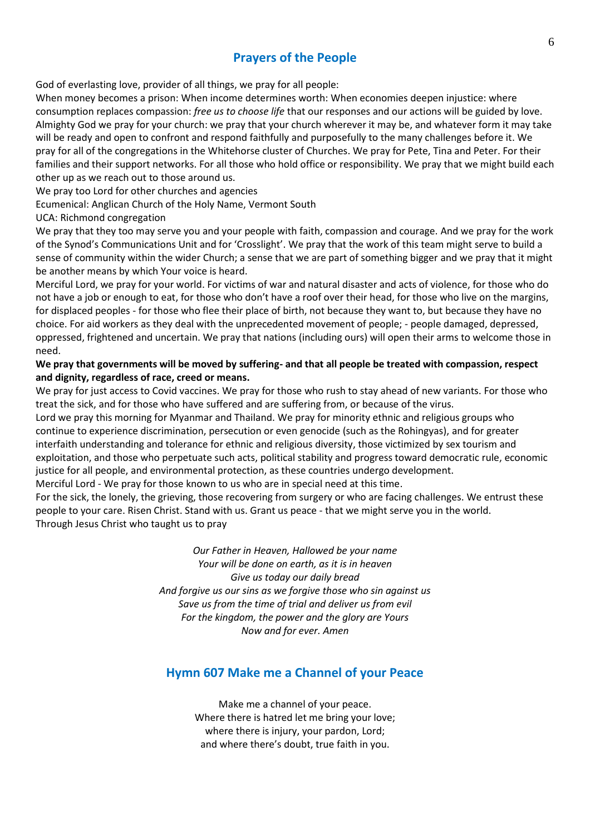# **Prayers of the People**

God of everlasting love, provider of all things, we pray for all people:

When money becomes a prison: When income determines worth: When economies deepen injustice: where consumption replaces compassion: *free us to choose life* that our responses and our actions will be guided by love. Almighty God we pray for your church: we pray that your church wherever it may be, and whatever form it may take will be ready and open to confront and respond faithfully and purposefully to the many challenges before it. We pray for all of the congregations in the Whitehorse cluster of Churches. We pray for Pete, Tina and Peter. For their families and their support networks. For all those who hold office or responsibility. We pray that we might build each other up as we reach out to those around us.

We pray too Lord for other churches and agencies

Ecumenical: Anglican Church of the Holy Name, Vermont South

UCA: Richmond congregation

We pray that they too may serve you and your people with faith, compassion and courage. And we pray for the work of the Synod's Communications Unit and for 'Crosslight'. We pray that the work of this team might serve to build a sense of community within the wider Church; a sense that we are part of something bigger and we pray that it might be another means by which Your voice is heard.

Merciful Lord, we pray for your world. For victims of war and natural disaster and acts of violence, for those who do not have a job or enough to eat, for those who don't have a roof over their head, for those who live on the margins, for displaced peoples - for those who flee their place of birth, not because they want to, but because they have no choice. For aid workers as they deal with the unprecedented movement of people; - people damaged, depressed, oppressed, frightened and uncertain. We pray that nations (including ours) will open their arms to welcome those in need.

#### **We pray that governments will be moved by suffering- and that all people be treated with compassion, respect and dignity, regardless of race, creed or means.**

We pray for just access to Covid vaccines. We pray for those who rush to stay ahead of new variants. For those who treat the sick, and for those who have suffered and are suffering from, or because of the virus.

Lord we pray this morning for Myanmar and Thailand. We pray for minority ethnic and religious groups who continue to experience discrimination, persecution or even genocide (such as the Rohingyas), and for greater interfaith understanding and tolerance for ethnic and religious diversity, those victimized by sex tourism and exploitation, and those who perpetuate such acts, political stability and progress toward democratic rule, economic justice for all people, and environmental protection, as these countries undergo development.

Merciful Lord - We pray for those known to us who are in special need at this time.

For the sick, the lonely, the grieving, those recovering from surgery or who are facing challenges. We entrust these people to your care. Risen Christ. Stand with us. Grant us peace - that we might serve you in the world. Through Jesus Christ who taught us to pray

> *Our Father in Heaven, Hallowed be your name Your will be done on earth, as it is in heaven Give us today our daily bread And forgive us our sins as we forgive those who sin against us Save us from the time of trial and deliver us from evil For the kingdom, the power and the glory are Yours Now and for ever. Amen*

# **Hymn 607 Make me a Channel of your Peace**

Make me a channel of your peace. Where there is hatred let me bring your love; where there is injury, your pardon, Lord; and where there's doubt, true faith in you.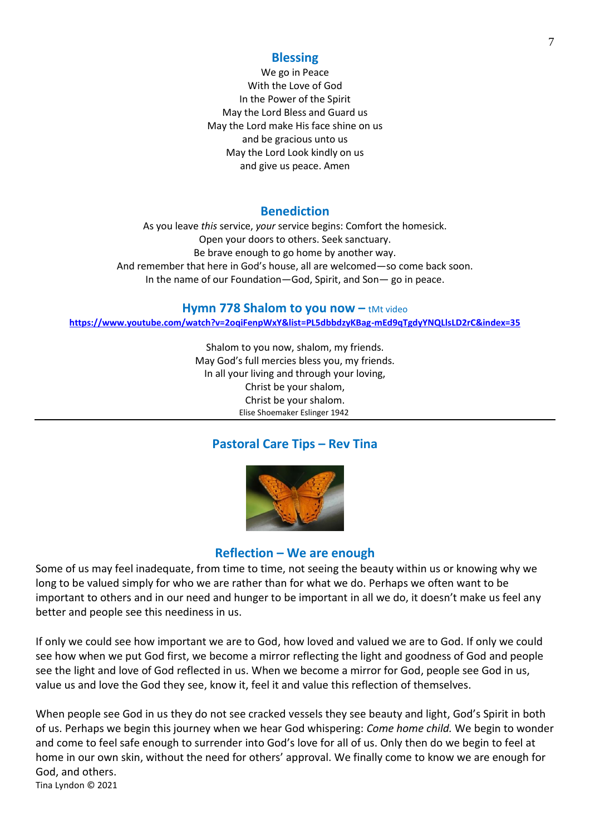### **Blessing**

We go in Peace With the Love of God In the Power of the Spirit May the Lord Bless and Guard us May the Lord make His face shine on us and be gracious unto us May the Lord Look kindly on us and give us peace. Amen

### **Benediction**

As you leave *this* service, *your* service begins: Comfort the homesick. Open your doors to others. Seek sanctuary. Be brave enough to go home by another way. And remember that here in God's house, all are welcomed—so come back soon. In the name of our Foundation—God, Spirit, and Son— go in peace.

#### **Hymn 778 Shalom to you now - tMt video**

**<https://www.youtube.com/watch?v=2oqiFenpWxY&list=PL5dbbdzyKBag-mEd9qTgdyYNQLlsLD2rC&index=35>**

Shalom to you now, shalom, my friends. May God's full mercies bless you, my friends. In all your living and through your loving, Christ be your shalom, Christ be your shalom. Elise Shoemaker Eslinger 1942

# **Pastoral Care Tips – Rev Tina**



### **Reflection – We are enough**

Some of us may feel inadequate, from time to time, not seeing the beauty within us or knowing why we long to be valued simply for who we are rather than for what we do. Perhaps we often want to be important to others and in our need and hunger to be important in all we do, it doesn't make us feel any better and people see this neediness in us.

If only we could see how important we are to God, how loved and valued we are to God. If only we could see how when we put God first, we become a mirror reflecting the light and goodness of God and people see the light and love of God reflected in us. When we become a mirror for God, people see God in us, value us and love the God they see, know it, feel it and value this reflection of themselves.

When people see God in us they do not see cracked vessels they see beauty and light, God's Spirit in both of us. Perhaps we begin this journey when we hear God whispering: *Come home child.* We begin to wonder and come to feel safe enough to surrender into God's love for all of us. Only then do we begin to feel at home in our own skin, without the need for others' approval. We finally come to know we are enough for God, and others. Tina Lyndon © 2021